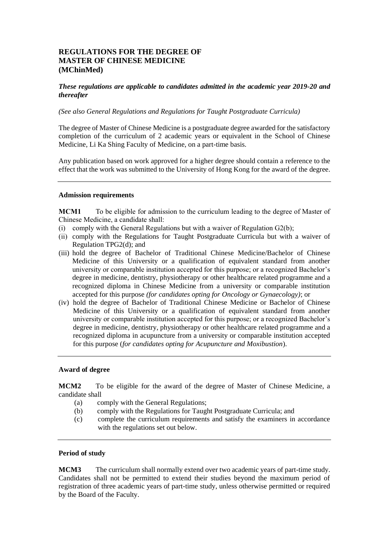# **REGULATIONS FOR THE DEGREE OF MASTER OF CHINESE MEDICINE (MChinMed)**

*These regulations are applicable to candidates admitted in the academic year 2019-20 and thereafter*

*(See also General Regulations and Regulations for Taught Postgraduate Curricula)* 

The degree of Master of Chinese Medicine is a postgraduate degree awarded for the satisfactory completion of the curriculum of 2 academic years or equivalent in the School of Chinese Medicine, Li Ka Shing Faculty of Medicine, on a part-time basis.

Any publication based on work approved for a higher degree should contain a reference to the effect that the work was submitted to the University of Hong Kong for the award of the degree.

#### **Admission requirements**

**MCM1** To be eligible for admission to the curriculum leading to the degree of Master of Chinese Medicine, a candidate shall:

- (i) comply with the General Regulations but with a waiver of Regulation G2(b);
- (ii) comply with the Regulations for Taught Postgraduate Curricula but with a waiver of Regulation TPG2(d); and
- (iii) hold the degree of Bachelor of Traditional Chinese Medicine/Bachelor of Chinese Medicine of this University or a qualification of equivalent standard from another university or comparable institution accepted for this purpose; or a recognized Bachelor's degree in medicine, dentistry, physiotherapy or other healthcare related programme and a recognized diploma in Chinese Medicine from a university or comparable institution accepted for this purpose *(for candidates opting for Oncology or Gynaecology)*; or
- (iv) hold the degree of Bachelor of Traditional Chinese Medicine or Bachelor of Chinese Medicine of this University or a qualification of equivalent standard from another university or comparable institution accepted for this purpose; or a recognized Bachelor's degree in medicine, dentistry, physiotherapy or other healthcare related programme and a recognized diploma in acupuncture from a university or comparable institution accepted for this purpose (*for candidates opting for Acupuncture and Moxibustion*).

# **Award of degree**

**MCM2** To be eligible for the award of the degree of Master of Chinese Medicine, a candidate shall

- (a) comply with the General Regulations;
- (b) comply with the Regulations for Taught Postgraduate Curricula; and
- (c) complete the curriculum requirements and satisfy the examiners in accordance with the regulations set out below.

# **Period of study**

**MCM3** The curriculum shall normally extend over two academic years of part-time study. Candidates shall not be permitted to extend their studies beyond the maximum period of registration of three academic years of part-time study, unless otherwise permitted or required by the Board of the Faculty.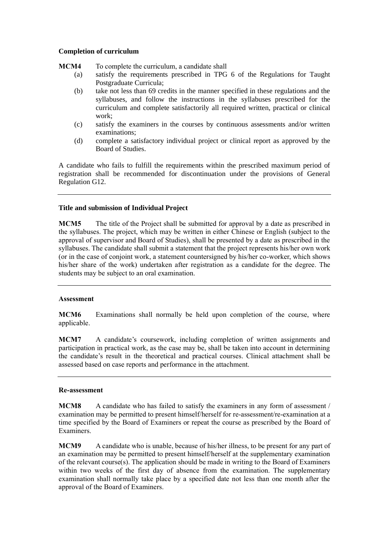#### **Completion of curriculum**

- **MCM4** To complete the curriculum, a candidate shall
	- (a) satisfy the requirements prescribed in TPG 6 of the Regulations for Taught Postgraduate Curricula;
	- (b) take not less than 69 credits in the manner specified in these regulations and the syllabuses, and follow the instructions in the syllabuses prescribed for the curriculum and complete satisfactorily all required written, practical or clinical work;
	- (c) satisfy the examiners in the courses by continuous assessments and/or written examinations;
	- (d) complete a satisfactory individual project or clinical report as approved by the Board of Studies.

A candidate who fails to fulfill the requirements within the prescribed maximum period of registration shall be recommended for discontinuation under the provisions of General Regulation G12.

### **Title and submission of Individual Project**

**MCM5** The title of the Project shall be submitted for approval by a date as prescribed in the syllabuses. The project, which may be written in either Chinese or English (subject to the approval of supervisor and Board of Studies), shall be presented by a date as prescribed in the syllabuses. The candidate shall submit a statement that the project represents his/her own work (or in the case of conjoint work, a statement countersigned by his/her co-worker, which shows his/her share of the work) undertaken after registration as a candidate for the degree. The students may be subject to an oral examination.

#### **Assessment**

**MCM6** Examinations shall normally be held upon completion of the course, where applicable.

**MCM7** A candidate's coursework, including completion of written assignments and participation in practical work, as the case may be, shall be taken into account in determining the candidate's result in the theoretical and practical courses. Clinical attachment shall be assessed based on case reports and performance in the attachment.

### **Re-assessment**

**MCM8** A candidate who has failed to satisfy the examiners in any form of assessment / examination may be permitted to present himself/herself for re-assessment/re-examination at a time specified by the Board of Examiners or repeat the course as prescribed by the Board of Examiners.

**MCM9** A candidate who is unable, because of his/her illness, to be present for any part of an examination may be permitted to present himself/herself at the supplementary examination of the relevant course $(s)$ . The application should be made in writing to the Board of Examiners within two weeks of the first day of absence from the examination. The supplementary examination shall normally take place by a specified date not less than one month after the approval of the Board of Examiners.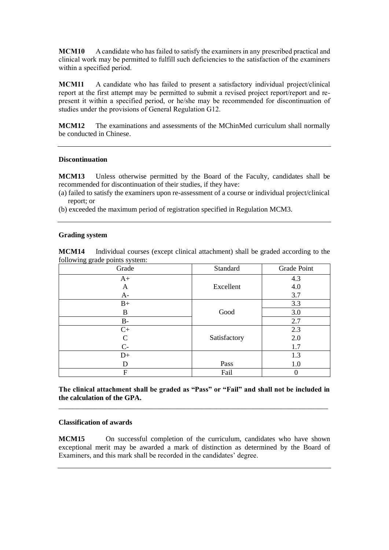**MCM10** A candidate who has failed to satisfy the examiners in any prescribed practical and clinical work may be permitted to fulfill such deficiencies to the satisfaction of the examiners within a specified period.

**MCM11** A candidate who has failed to present a satisfactory individual project/clinical report at the first attempt may be permitted to submit a revised project report/report and represent it within a specified period, or he/she may be recommended for discontinuation of studies under the provisions of General Regulation G12.

**MCM12** The examinations and assessments of the MChinMed curriculum shall normally be conducted in Chinese.

#### **Discontinuation**

**MCM13** Unless otherwise permitted by the Board of the Faculty, candidates shall be recommended for discontinuation of their studies, if they have:

- (a) failed to satisfy the examiners upon re-assessment of a course or individual project/clinical report; or
- (b) exceeded the maximum period of registration specified in Regulation MCM3.

#### **Grading system**

**MCM14** Individual courses (except clinical attachment) shall be graded according to the following grade points system:

| Grade       | Standard     | Grade Point |
|-------------|--------------|-------------|
| $A+$        |              | 4.3         |
| A           | Excellent    | 4.0         |
| $A-$        |              | 3.7         |
| $B+$        |              | 3.3         |
| B           | Good         | 3.0         |
| B-          |              | 2.7         |
| $C+$        |              | 2.3         |
| $\mathsf C$ | Satisfactory | 2.0         |
| $C-$        |              | 1.7         |
| $D+$        |              | 1.3         |
| D           | Pass         | 1.0         |
| F           | Fail         | $\theta$    |

**The clinical attachment shall be graded as "Pass" or "Fail" and shall not be included in the calculation of the GPA.** \_\_\_\_\_\_\_\_\_\_\_\_\_\_\_\_\_\_\_\_\_\_\_\_\_\_\_\_\_\_\_\_\_\_\_\_\_\_\_\_\_\_\_\_\_\_\_\_\_\_\_\_\_\_\_\_\_\_\_\_\_\_\_\_\_\_\_\_\_\_\_\_\_\_\_

#### **Classification of awards**

**MCM15** On successful completion of the curriculum, candidates who have shown exceptional merit may be awarded a mark of distinction as determined by the Board of Examiners, and this mark shall be recorded in the candidates' degree.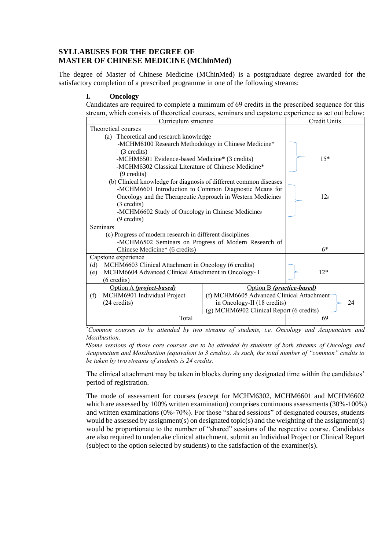# **SYLLABUSES FOR THE DEGREE OF MASTER OF CHINESE MEDICINE (MChinMed)**

The degree of Master of Chinese Medicine (MChinMed) is a postgraduate degree awarded for the satisfactory completion of a prescribed programme in one of the following streams:

# **I. Oncology**

Candidates are required to complete a minimum of 69 credits in the prescribed sequence for this stream, which consists of theoretical courses, seminars and capstone experience as set out below:

| su cam, which consists of theoretical courses, schimals and capsione experience as set out oclow. |                                           |              |  |
|---------------------------------------------------------------------------------------------------|-------------------------------------------|--------------|--|
| Curriculum structure                                                                              |                                           | Credit Units |  |
| Theoretical courses                                                                               |                                           |              |  |
|                                                                                                   | (a) Theoretical and research knowledge    |              |  |
| -MCHM6100 Research Methodology in Chinese Medicine*                                               |                                           |              |  |
| (3 credits)                                                                                       |                                           |              |  |
| -MCHM6501 Evidence-based Medicine* (3 credits)                                                    |                                           | $15*$        |  |
| -MCHM6302 Classical Literature of Chinese Medicine*                                               |                                           |              |  |
| $(9 \text{ credits})$                                                                             |                                           |              |  |
| (b) Clinical knowledge for diagnosis of different common diseases                                 |                                           |              |  |
| -MCHM6601 Introduction to Common Diagnostic Means for                                             |                                           |              |  |
| Oncology and the Therapeutic Approach in Western Medicine#                                        |                                           | 12#          |  |
| $(3 \text{ credits})$                                                                             |                                           |              |  |
| -MCHM6602 Study of Oncology in Chinese Medicine#                                                  |                                           |              |  |
| (9 credits)                                                                                       |                                           |              |  |
| Seminars                                                                                          |                                           |              |  |
| (c) Progress of modern research in different disciplines                                          |                                           |              |  |
| -MCHM6502 Seminars on Progress of Modern Research of                                              |                                           |              |  |
| Chinese Medicine* (6 credits)                                                                     |                                           | $6*$         |  |
| Capstone experience                                                                               |                                           |              |  |
| (d)<br>MCHM6603 Clinical Attachment in Oncology (6 credits)                                       |                                           |              |  |
| MCHM6604 Advanced Clinical Attachment in Oncology- I<br>(e)                                       |                                           | $12*$        |  |
| (6 credits)                                                                                       |                                           |              |  |
| Option A (project-based)                                                                          | Option B (practice-based)                 |              |  |
| MCHM6901 Individual Project<br>(f)                                                                | (f) MCHM6605 Advanced Clinical Attachment |              |  |
| (24 credits)                                                                                      | in Oncology-II (18 credits)<br>24         |              |  |
| (g) MCHM6902 Clinical Report (6 credits)                                                          |                                           |              |  |
| Total                                                                                             |                                           | 69           |  |
|                                                                                                   |                                           |              |  |

*\*Common courses to be attended by two streams of students, i.e. Oncology and Acupuncture and Moxibustion.*

*#Some sessions of those core courses are to be attended by students of both streams of Oncology and Acupuncture and Moxibustion (equivalent to 3 credits). As such, the total number of "common" credits to be taken by two streams of students is 24 credits.*

The clinical attachment may be taken in blocks during any designated time within the candidates' period of registration.

The mode of assessment for courses (except for MCHM6302, MCHM6601 and MCHM6602 which are assessed by 100% written examination) comprises continuous assessments (30%-100%) and written examinations (0%-70%). For those "shared sessions" of designated courses, students would be assessed by assignment(s) on designated topic(s) and the weighting of the assignment(s) would be proportionate to the number of "shared" sessions of the respective course. Candidates are also required to undertake clinical attachment, submit an Individual Project or Clinical Report (subject to the option selected by students) to the satisfaction of the examiner(s).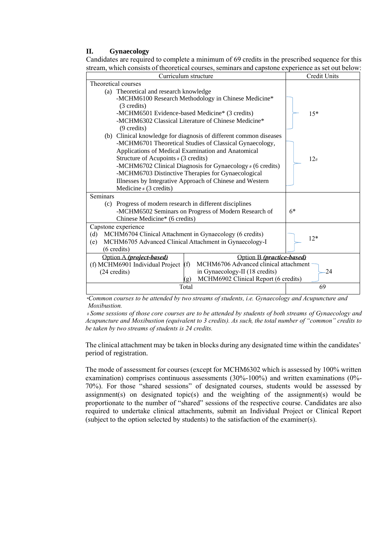#### **II. Gynaecology**

Candidates are required to complete a minimum of 69 credits in the prescribed sequence for this stream, which consists of theoretical courses, seminars and capstone experience as set out below:

| Curriculum structure                                                                  | Credit Units |
|---------------------------------------------------------------------------------------|--------------|
| Theoretical courses                                                                   |              |
| (a) Theoretical and research knowledge                                                |              |
| -MCHM6100 Research Methodology in Chinese Medicine*                                   |              |
| (3 credits)                                                                           |              |
| -MCHM6501 Evidence-based Medicine* (3 credits)                                        | $15*$        |
| -MCHM6302 Classical Literature of Chinese Medicine*                                   |              |
| $(9 \text{ credits})$                                                                 |              |
| (b) Clinical knowledge for diagnosis of different common diseases                     |              |
| -MCHM6701 Theoretical Studies of Classical Gynaecology,                               |              |
| Applications of Medical Examination and Anatomical                                    |              |
| Structure of Acupoints $# (3 \text{ credits})$                                        | 12#          |
| -MCHM6702 Clinical Diagnosis for Gynaecology # (6 credits)                            |              |
| -MCHM6703 Distinctive Therapies for Gynaecological                                    |              |
| Illnesses by Integrative Approach of Chinese and Western                              |              |
| Medicine # $(3 \text{ credits})$<br>Seminars                                          |              |
|                                                                                       |              |
| (c) Progress of modern research in different disciplines                              | $6*$         |
| -MCHM6502 Seminars on Progress of Modern Research of<br>Chinese Medicine* (6 credits) |              |
|                                                                                       |              |
| Capstone experience<br>MCHM6704 Clinical Attachment in Gynaecology (6 credits)<br>(d) |              |
| MCHM6705 Advanced Clinical Attachment in Gynaecology-I<br>(e)                         | $12*$        |
| $(6 \text{ credits})$                                                                 |              |
| Option B (practice-based)<br>Option A (project-based)                                 |              |
| MCHM6706 Advanced clinical attachment<br>(f) MCHM6901 Individual Project<br>(f)       |              |
| in Gynaecology-II (18 credits)<br>(24 credits)                                        | $-24$        |
| MCHM6902 Clinical Report (6 credits)<br>$\sigma$ )                                    |              |
| Total                                                                                 | 69           |

*\*Common courses to be attended by two streams of students, i.e. Gynaecology and Acupuncture and Moxibustion.*

*# Some sessions of those core courses are to be attended by students of both streams of Gynaecology and Acupuncture and Moxibustion (equivalent to 3 credits). As such, the total number of "common" credits to be taken by two streams of students is 24 credits.* 

The clinical attachment may be taken in blocks during any designated time within the candidates' period of registration.

The mode of assessment for courses (except for MCHM6302 which is assessed by 100% written examination) comprises continuous assessments (30%-100%) and written examinations (0%- 70%). For those "shared sessions" of designated courses, students would be assessed by assignment(s) on designated topic(s) and the weighting of the assignment(s) would be proportionate to the number of "shared" sessions of the respective course. Candidates are also required to undertake clinical attachments, submit an Individual Project or Clinical Report (subject to the option selected by students) to the satisfaction of the examiner(s).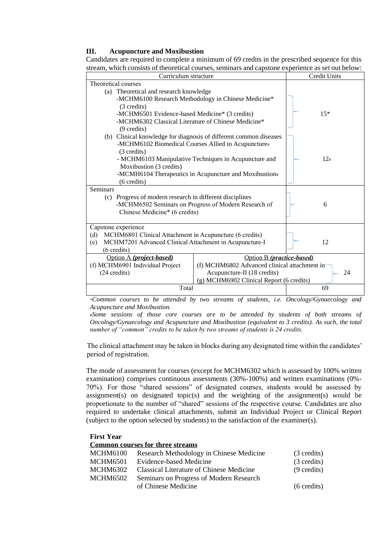#### **III. Acupuncture and Moxibustion**

Candidates are required to complete a minimum of 69 credits in the prescribed sequence for this stream, which consists of theoretical courses, seminars and capstone experience as set out below:

| Curriculum structure                                           |                                                                   | Credit Units |
|----------------------------------------------------------------|-------------------------------------------------------------------|--------------|
| Theoretical courses                                            |                                                                   |              |
| (a) Theoretical and research knowledge                         |                                                                   |              |
|                                                                | -MCHM6100 Research Methodology in Chinese Medicine*               |              |
| (3 credits)                                                    |                                                                   |              |
| -MCHM6501 Evidence-based Medicine* (3 credits)                 |                                                                   | $15*$        |
| -MCHM6302 Classical Literature of Chinese Medicine*            |                                                                   |              |
| $(9 \text{ credits})$                                          |                                                                   |              |
|                                                                | (b) Clinical knowledge for diagnosis of different common diseases |              |
|                                                                | -MCHM6102 Biomedical Courses Allied to Acupuncture#               |              |
| (3 credits)                                                    |                                                                   |              |
|                                                                | - MCHM6103 Manipulative Techniques in Acupuncture and             | 12#          |
| Moxibustion (3 credits)                                        |                                                                   |              |
|                                                                | -MCMH6104 Therapeutics in Acupuncture and Moxibustion#            |              |
| $(6 \text{ credits})$                                          |                                                                   |              |
| <b>Seminars</b>                                                |                                                                   |              |
| (c) Progress of modern research in different disciplines       |                                                                   |              |
| -MCHM6502 Seminars on Progress of Modern Research of           |                                                                   | 6            |
| Chinese Medicine* (6 credits)                                  |                                                                   |              |
|                                                                |                                                                   |              |
| Capstone experience                                            |                                                                   |              |
| MCHM6801 Clinical Attachment in Acupuncture (6 credits)<br>(d) |                                                                   |              |
| MCHM7201 Advanced Clinical Attachment in Acupuncture-I<br>(e)  |                                                                   | 12           |
| $(6 \text{ credits})$                                          |                                                                   |              |
| Option A ( <i>project-based</i> )                              | Option B (practice-based)                                         |              |
| (f) MCHM6901 Individual Project                                | (f) MCHM6802 Advanced clinical attachment in-                     |              |
| $(24 \text{ credits})$                                         | Acupuncture-II (18 credits)<br>24                                 |              |
| (g) MCHM6902 Clinical Report (6 credits)                       |                                                                   |              |
| Total                                                          |                                                                   | 69           |

*\*Common courses to be attended by two streams of students, i.e. Oncology/Gynaecology and Acupuncture and Moxibustion.*

*#Some sessions of those core courses are to be attended by students of both streams of Oncology/Gynaecology and Acupuncture and Moxibustion (equivalent to 3 credits). As such, the total number of "common" credits to be taken by two streams of students is 24 credits.* 

The clinical attachment may be taken in blocks during any designated time within the candidates' period of registration.

The mode of assessment for courses (except for MCHM6302 which is assessed by 100% written examination) comprises continuous assessments (30%-100%) and written examinations (0%- 70%). For those "shared sessions" of designated courses, students would be assessed by assignment(s) on designated topic(s) and the weighting of the assignment(s) would be proportionate to the number of "shared" sessions of the respective course. Candidates are also required to undertake clinical attachments, submit an Individual Project or Clinical Report (subject to the option selected by students) to the satisfaction of the examiner(s).

| <b>First Year</b> |                                          |                       |
|-------------------|------------------------------------------|-----------------------|
|                   | <b>Common courses for three streams</b>  |                       |
| MCHM6100          | Research Methodology in Chinese Medicine | (3 credits)           |
| MCHM6501          | Evidence-based Medicine                  | (3 credits)           |
| <b>MCHM6302</b>   | Classical Literature of Chinese Medicine | $(9 \text{ credits})$ |
| <b>MCHM6502</b>   | Seminars on Progress of Modern Research  |                       |
|                   | of Chinese Medicine                      | $(6 \text{ credits})$ |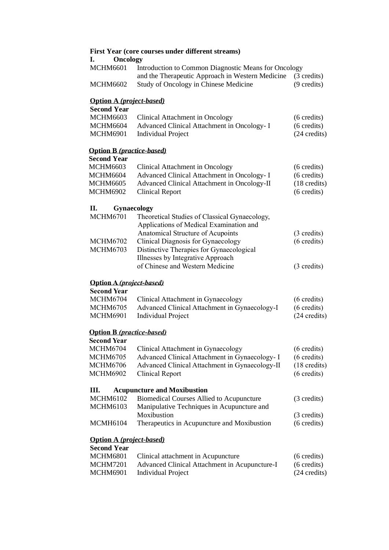| <b>Oncology</b><br>I.                                           | First Year (core courses under different streams)                                                        |                                       |
|-----------------------------------------------------------------|----------------------------------------------------------------------------------------------------------|---------------------------------------|
| <b>MCHM6601</b>                                                 | Introduction to Common Diagnostic Means for Oncology<br>and the Therapeutic Approach in Western Medicine | (3 credits)                           |
| <b>MCHM6602</b>                                                 | Study of Oncology in Chinese Medicine                                                                    | (9 credits)                           |
| <b>Option A</b> ( <i>project-based</i> )                        |                                                                                                          |                                       |
| <b>Second Year</b>                                              |                                                                                                          |                                       |
| <b>MCHM6603</b>                                                 | Clinical Attachment in Oncology                                                                          | $(6 \text{ credits})$                 |
| <b>MCHM6604</b><br><b>MCHM6901</b>                              | Advanced Clinical Attachment in Oncology- I<br><b>Individual Project</b>                                 | $(6 \text{ credits})$<br>(24 credits) |
|                                                                 |                                                                                                          |                                       |
| <b>Option B</b> ( <i>practice-based</i> )<br><b>Second Year</b> |                                                                                                          |                                       |
| <b>MCHM6603</b>                                                 |                                                                                                          |                                       |
|                                                                 | Clinical Attachment in Oncology                                                                          | $(6 \text{ credits})$                 |
| <b>MCHM6604</b><br><b>MCHM6605</b>                              | Advanced Clinical Attachment in Oncology- I                                                              | $(6 \text{ credits})$                 |
| <b>MCHM6902</b>                                                 | Advanced Clinical Attachment in Oncology-II<br><b>Clinical Report</b>                                    | $(18 \text{ credits})$<br>(6 credits) |
|                                                                 |                                                                                                          |                                       |
| П.                                                              | Gynaecology                                                                                              |                                       |
| <b>MCHM6701</b>                                                 | Theoretical Studies of Classical Gynaecology,                                                            |                                       |
|                                                                 | Applications of Medical Examination and                                                                  |                                       |
|                                                                 | Anatomical Structure of Acupoints                                                                        | (3 credits)                           |
| <b>MCHM6702</b>                                                 | Clinical Diagnosis for Gynaecology                                                                       | $(6 \text{ credits})$                 |
| <b>MCHM6703</b>                                                 | Distinctive Therapies for Gynaecological                                                                 |                                       |
|                                                                 | Illnesses by Integrative Approach                                                                        |                                       |
|                                                                 | of Chinese and Western Medicine                                                                          | (3 credits)                           |
| <b>Option A</b> ( <i>project-based</i> )                        |                                                                                                          |                                       |
| <b>Second Year</b>                                              |                                                                                                          |                                       |
| <b>MCHM6704</b>                                                 | Clinical Attachment in Gynaecology                                                                       | $(6 \text{ credits})$                 |
| <b>MCHM6705</b>                                                 | Advanced Clinical Attachment in Gynaecology-I                                                            | $(6 \text{ credits})$                 |
| <b>MCHM6901</b>                                                 | <b>Individual Project</b>                                                                                | (24 credits)                          |
| <b>Option B</b> (practice-based)                                |                                                                                                          |                                       |
| <b>Second Year</b>                                              |                                                                                                          |                                       |
| <b>MCHM6704</b>                                                 | Clinical Attachment in Gynaecology                                                                       | $(6 \text{ credits})$                 |
| <b>MCHM6705</b>                                                 | Advanced Clinical Attachment in Gynaecology- I                                                           | $(6 \text{ credits})$                 |
| <b>MCHM6706</b>                                                 | Advanced Clinical Attachment in Gynaecology-II                                                           | $(18 \text{ credits})$                |
| <b>MCHM6902</b>                                                 | <b>Clinical Report</b>                                                                                   | $(6 \text{ credits})$                 |
| Ш.                                                              | <b>Acupuncture and Moxibustion</b>                                                                       |                                       |
| <b>MCHM6102</b>                                                 | <b>Biomedical Courses Allied to Acupuncture</b>                                                          | (3 credits)                           |
| <b>MCHM6103</b>                                                 | Manipulative Techniques in Acupuncture and                                                               |                                       |
|                                                                 | Moxibustion                                                                                              | (3 credits)                           |
| <b>MCMH6104</b>                                                 | Therapeutics in Acupuncture and Moxibustion                                                              | $(6 \text{ credits})$                 |
| <b>Option A</b> (project-based)                                 |                                                                                                          |                                       |
| <b>Second Year</b>                                              |                                                                                                          |                                       |
| <b>MCHM6801</b>                                                 | Clinical attachment in Acupuncture                                                                       | $(6 \text{ credits})$                 |
| <b>MCHM7201</b>                                                 | Advanced Clinical Attachment in Acupuncture-I                                                            | $(6 \text{ credits})$                 |
| <b>MCHM6901</b>                                                 | <b>Individual Project</b>                                                                                | (24 credits)                          |
|                                                                 |                                                                                                          |                                       |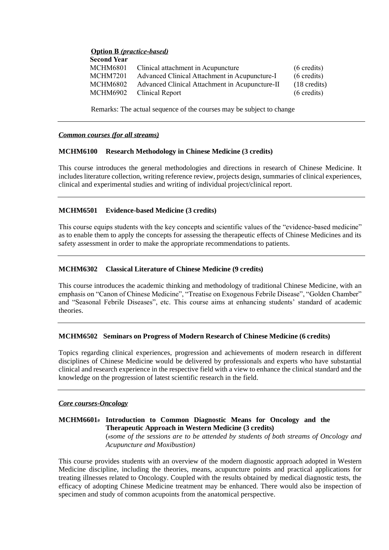# **Option B** *(practice-based)*

| <b>Second Year</b> |                                                |                        |
|--------------------|------------------------------------------------|------------------------|
| MCHM6801           | Clinical attachment in Acupuncture             | $(6 \text{ credits})$  |
| MCHM7201           | Advanced Clinical Attachment in Acupuncture-I  | $(6 \text{ credits})$  |
| MCHM6802_          | Advanced Clinical Attachment in Acupuncture-II | $(18 \text{ credits})$ |
| MCHM6902           | Clinical Report                                | $(6 \text{ credits})$  |
|                    |                                                |                        |

Remarks: The actual sequence of the courses may be subject to change

#### *Common courses (for all streams)*

#### **MCHM6100 Research Methodology in Chinese Medicine (3 credits)**

This course introduces the general methodologies and directions in research of Chinese Medicine. It includes literature collection, writing reference review, projects design, summaries of clinical experiences, clinical and experimental studies and writing of individual project/clinical report.

### **MCHM6501 Evidence-based Medicine (3 credits)**

This course equips students with the key concepts and scientific values of the "evidence-based medicine" as to enable them to apply the concepts for assessing the therapeutic effects of Chinese Medicines and its safety assessment in order to make the appropriate recommendations to patients.

### **MCHM6302 Classical Literature of Chinese Medicine (9 credits)**

This course introduces the academic thinking and methodology of traditional Chinese Medicine, with an emphasis on "Canon of Chinese Medicine", "Treatise on Exogenous Febrile Disease", "Golden Chamber" and "Seasonal Febrile Diseases", etc. This course aims at enhancing students' standard of academic theories.

### **MCHM6502 Seminars on Progress of Modern Research of Chinese Medicine (6 credits)**

Topics regarding clinical experiences, progression and achievements of modern research in different disciplines of Chinese Medicine would be delivered by professionals and experts who have substantial clinical and research experience in the respective field with a view to enhance the clinical standard and the knowledge on the progression of latest scientific research in the field.

#### *Core courses-Oncology*

#### **MCHM6601# Introduction to Common Diagnostic Means for Oncology and the Therapeutic Approach in Western Medicine (3 credits)** (#*some of the sessions are to be attended by students of both streams of Oncology and*

*Acupuncture and Moxibustion)*

This course provides students with an overview of the modern diagnostic approach adopted in Western Medicine discipline, including the theories, means, acupuncture points and practical applications for treating illnesses related to Oncology. Coupled with the results obtained by medical diagnostic tests, the efficacy of adopting Chinese Medicine treatment may be enhanced. There would also be inspection of specimen and study of common acupoints from the anatomical perspective.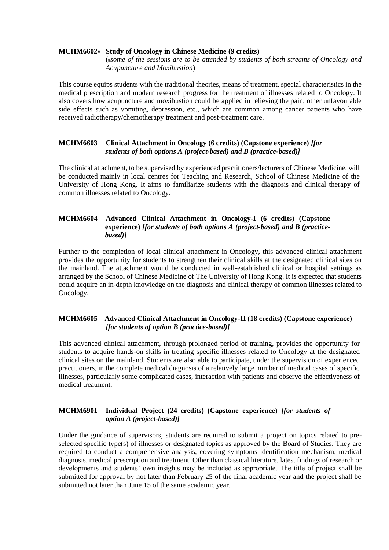#### **MCHM6602# Study of Oncology in Chinese Medicine (9 credits)**

(#*some of the sessions are to be attended by students of both streams of Oncology and Acupuncture and Moxibustion*)

This course equips students with the traditional theories, means of treatment, special characteristics in the medical prescription and modern research progress for the treatment of illnesses related to Oncology. It also covers how acupuncture and moxibustion could be applied in relieving the pain, other unfavourable side effects such as vomiting, depression, etc., which are common among cancer patients who have received radiotherapy/chemotherapy treatment and post-treatment care.

# **MCHM6603 Clinical Attachment in Oncology (6 credits) (Capstone experience)** *[for students of both options A (project-based) and B (practice-based)]*

The clinical attachment, to be supervised by experienced practitioners/lecturers of Chinese Medicine, will be conducted mainly in local centres for Teaching and Research, School of Chinese Medicine of the University of Hong Kong. It aims to familiarize students with the diagnosis and clinical therapy of common illnesses related to Oncology.

# **MCHM6604 Advanced Clinical Attachment in Oncology-I (6 credits) (Capstone experience)** *[for students of both options A (project-based) and B (practicebased)]*

Further to the completion of local clinical attachment in Oncology, this advanced clinical attachment provides the opportunity for students to strengthen their clinical skills at the designated clinical sites on the mainland. The attachment would be conducted in well-established clinical or hospital settings as arranged by the School of Chinese Medicine of The University of Hong Kong. It is expected that students could acquire an in-depth knowledge on the diagnosis and clinical therapy of common illnesses related to Oncology.

### **MCHM6605 Advanced Clinical Attachment in Oncology-II (18 credits) (Capstone experience)**  *[for students of option B (practice-based)]*

This advanced clinical attachment, through prolonged period of training, provides the opportunity for students to acquire hands-on skills in treating specific illnesses related to Oncology at the designated clinical sites on the mainland. Students are also able to participate, under the supervision of experienced practitioners, in the complete medical diagnosis of a relatively large number of medical cases of specific illnesses, particularly some complicated cases, interaction with patients and observe the effectiveness of medical treatment.

# **MCHM6901 Individual Project (24 credits) (Capstone experience)** *[for students of option A (project-based)]*

Under the guidance of supervisors, students are required to submit a project on topics related to preselected specific type(s) of illnesses or designated topics as approved by the Board of Studies. They are required to conduct a comprehensive analysis, covering symptoms identification mechanism, medical diagnosis, medical prescription and treatment. Other than classical literature, latest findings of research or developments and students' own insights may be included as appropriate. The title of project shall be submitted for approval by not later than February 25 of the final academic year and the project shall be submitted not later than June 15 of the same academic year.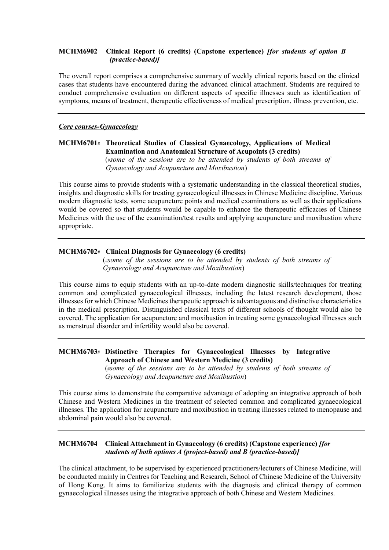# **MCHM6902 Clinical Report (6 credits) (Capstone experience)** *[for students of option B (practice-based)]*

The overall report comprises a comprehensive summary of weekly clinical reports based on the clinical cases that students have encountered during the advanced clinical attachment. Students are required to conduct comprehensive evaluation on different aspects of specific illnesses such as identification of symptoms, means of treatment, therapeutic effectiveness of medical prescription, illness prevention, etc.

#### *Core courses-Gynaecology*

# **MCHM6701***#* **Theoretical Studies of Classical Gynaecology, Applications of Medical Examination and Anatomical Structure of Acupoints (3 credits)** (#*some of the sessions are to be attended by students of both streams of*

*Gynaecology and Acupuncture and Moxibustion*)

This course aims to provide students with a systematic understanding in the classical theoretical studies, insights and diagnostic skills for treating gynaecological illnesses in Chinese Medicine discipline. Various modern diagnostic tests, some acupuncture points and medical examinations as well as their applications would be covered so that students would be capable to enhance the therapeutic efficacies of Chinese Medicines with the use of the examination/test results and applying acupuncture and moxibustion where appropriate.

### **MCHM6702***#* **Clinical Diagnosis for Gynaecology (6 credits)**

(#*some of the sessions are to be attended by students of both streams of Gynaecology and Acupuncture and Moxibustion*)

This course aims to equip students with an up-to-date modern diagnostic skills/techniques for treating common and complicated gynaecological illnesses, including the latest research development, those illnesses for which Chinese Medicines therapeutic approach is advantageous and distinctive characteristics in the medical prescription. Distinguished classical texts of different schools of thought would also be covered. The application for acupuncture and moxibustion in treating some gynaecological illnesses such as menstrual disorder and infertility would also be covered.

# **MCHM6703# Distinctive Therapies for Gynaecological Illnesses by Integrative Approach of Chinese and Western Medicine (3 credits)**

(#*some of the sessions are to be attended by students of both streams of Gynaecology and Acupuncture and Moxibustion*)

This course aims to demonstrate the comparative advantage of adopting an integrative approach of both Chinese and Western Medicines in the treatment of selected common and complicated gynaecological illnesses. The application for acupuncture and moxibustion in treating illnesses related to menopause and abdominal pain would also be covered.

# **MCHM6704 Clinical Attachment in Gynaecology (6 credits) (Capstone experience)** *[for students of both options A (project-based) and B (practice-based)]*

The clinical attachment, to be supervised by experienced practitioners/lecturers of Chinese Medicine, will be conducted mainly in Centres for Teaching and Research, School of Chinese Medicine of the University of Hong Kong. It aims to familiarize students with the diagnosis and clinical therapy of common gynaecological illnesses using the integrative approach of both Chinese and Western Medicines.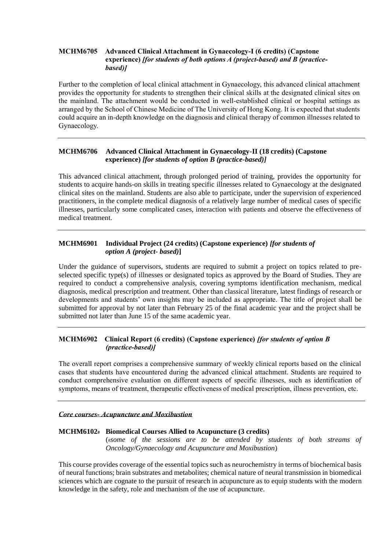# **MCHM6705 Advanced Clinical Attachment in Gynaecology-I (6 credits) (Capstone experience)** *[for students of both options A (project-based) and B (practice based)]*

Further to the completion of local clinical attachment in Gynaecology, this advanced clinical attachment provides the opportunity for students to strengthen their clinical skills at the designated clinical sites on the mainland. The attachment would be conducted in well-established clinical or hospital settings as arranged by the School of Chinese Medicine of The University of Hong Kong. It is expected that students could acquire an in-depth knowledge on the diagnosis and clinical therapy of common illnesses related to Gynaecology.

# **MCHM6706 Advanced Clinical Attachment in Gynaecology-II (18 credits) (Capstone experience)** *[for students of option B (practice-based)]*

This advanced clinical attachment, through prolonged period of training, provides the opportunity for students to acquire hands-on skills in treating specific illnesses related to Gynaecology at the designated clinical sites on the mainland. Students are also able to participate, under the supervision of experienced practitioners, in the complete medical diagnosis of a relatively large number of medical cases of specific illnesses, particularly some complicated cases, interaction with patients and observe the effectiveness of medical treatment.

# **MCHM6901 Individual Project (24 credits) (Capstone experience)** *[for students of option A (project- based)***]**

Under the guidance of supervisors, students are required to submit a project on topics related to preselected specific type(s) of illnesses or designated topics as approved by the Board of Studies. They are required to conduct a comprehensive analysis, covering symptoms identification mechanism, medical diagnosis, medical prescription and treatment. Other than classical literature, latest findings of research or developments and students' own insights may be included as appropriate. The title of project shall be submitted for approval by not later than February 25 of the final academic year and the project shall be submitted not later than June 15 of the same academic year.

# **MCHM6902 Clinical Report (6 credits) (Capstone experience)** *[for students of option B (practice-based)]*

The overall report comprises a comprehensive summary of weekly clinical reports based on the clinical cases that students have encountered during the advanced clinical attachment. Students are required to conduct comprehensive evaluation on different aspects of specific illnesses, such as identification of symptoms, means of treatment, therapeutic effectiveness of medical prescription, illness prevention, etc.

### *Core courses- Acupuncture and Moxibustion*

### **MCHM6102# Biomedical Courses Allied to Acupuncture (3 credits)**

(#*some of the sessions are to be attended by students of both streams of Oncology/Gynaecology and Acupuncture and Moxibustion*)

This course provides coverage of the essential topics such as neurochemistry in terms of biochemical basis of neural functions; brain substrates and metabolites; chemical nature of neural transmission in biomedical sciences which are cognate to the pursuit of research in acupuncture as to equip students with the modern knowledge in the safety, role and mechanism of the use of acupuncture.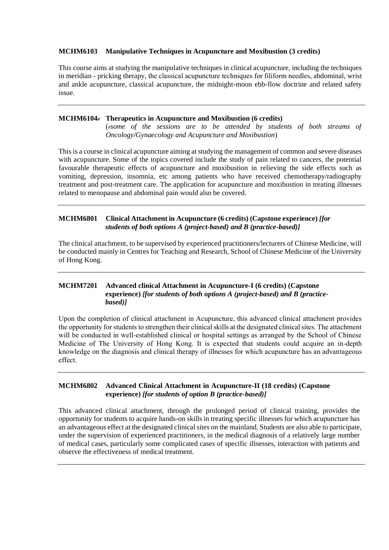# **MCHM6103 Manipulative Techniques in Acupuncture and Moxibustion (3 credits)**

This course aims at studying the manipulative techniques in clinical acupuncture, including the techniques in meridian - pricking therapy, the classical acupuncture techniques for filiform needles, abdominal, wrist and ankle acupuncture, classical acupuncture, the midnight-moon ebb-flow doctrine and related safety issue.

# **MCHM6104# Therapeutics in Acupuncture and Moxibustion (6 credits)**

(#*some of the sessions are to be attended by students of both streams of Oncology/Gynaecology and Acupuncture and Moxibustion*)

This is a course in clinical acupuncture aiming at studying the management of common and severe diseases with acupuncture. Some of the topics covered include the study of pain related to cancers, the potential favourable therapeutic effects of acupuncture and moxibustion in relieving the side effects such as vomiting, depression, insomnia, etc among patients who have received chemotherapy/radiography treatment and post-treatment care. The application for acupuncture and moxibustion in treating illnesses related to menopause and abdominal pain would also be covered.

# **MCHM6801 Clinical Attachment in Acupuncture (6 credits) (Capstone experience)** *[for students of both options A (project-based) and B (practice-based)]*

The clinical attachment, to be supervised by experienced practitioners/lecturers of Chinese Medicine, will be conducted mainly in Centres for Teaching and Research, School of Chinese Medicine of the University of Hong Kong.

# **MCHM7201 Advanced clinical Attachment in Acupuncture-I (6 credits) (Capstone experience)** *[for students of both options A (project-based) and B (practice based)]*

Upon the completion of clinical attachment in Acupuncture, this advanced clinical attachment provides the opportunity for students to strengthen their clinical skills at the designated clinical sites. The attachment will be conducted in well-established clinical or hospital settings as arranged by the School of Chinese Medicine of The University of Hong Kong. It is expected that students could acquire an in-depth knowledge on the diagnosis and clinical therapy of illnesses for which acupuncture has an advantageous effect.

### **MCHM6802 Advanced Clinical Attachment in Acupuncture-II (18 credits) (Capstone experience)** *[for students of option B (practice-based)]*

This advanced clinical attachment, through the prolonged period of clinical training, provides the opportunity for students to acquire hands-on skills in treating specific illnesses for which acupuncture has an advantageous effect at the designated clinical sites on the mainland. Students are also able to participate, under the supervision of experienced practitioners, in the medical diagnosis of a relatively large number of medical cases, particularly some complicated cases of specific illnesses, interaction with patients and observe the effectiveness of medical treatment.